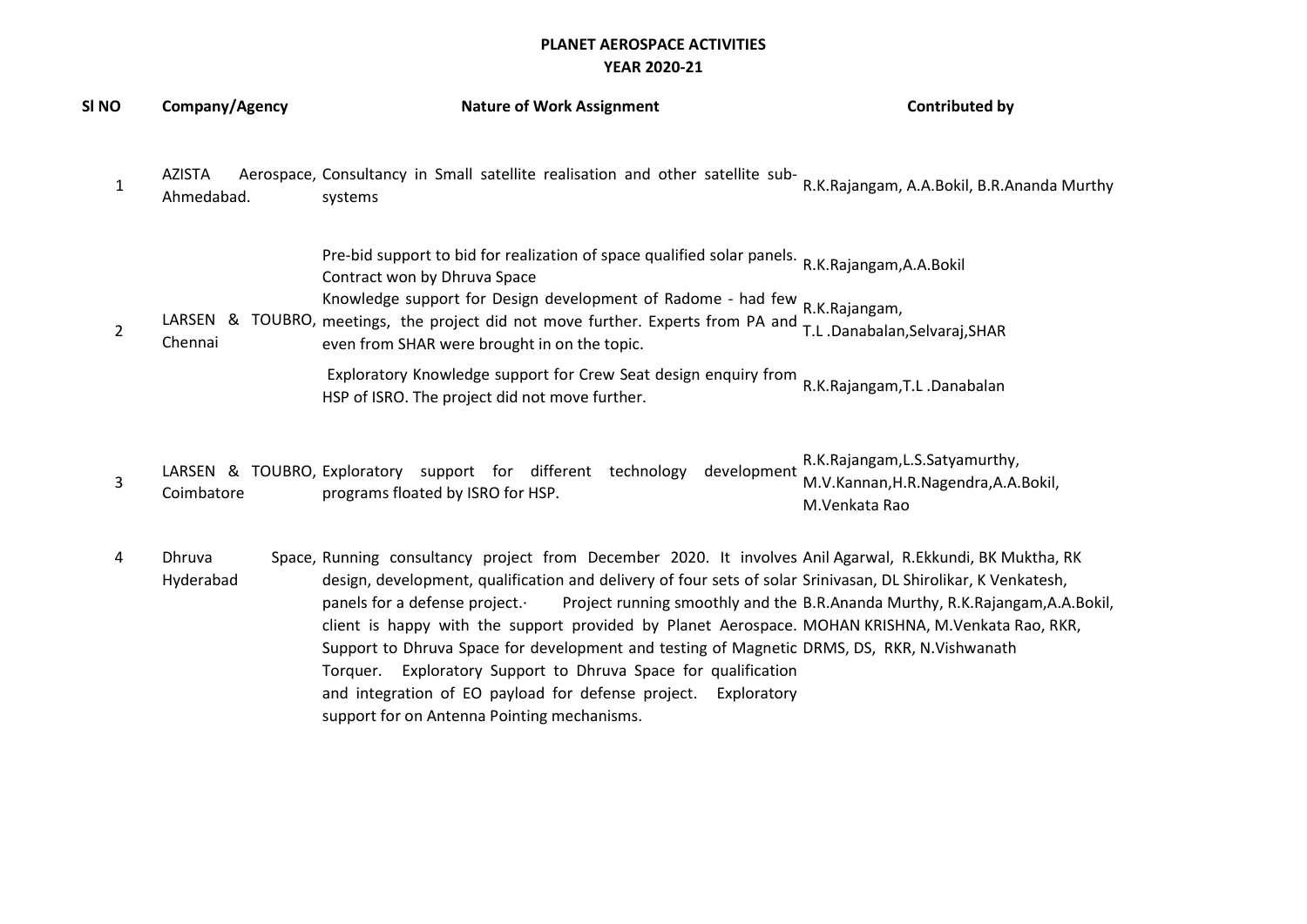## PLANET AEROSPACE ACTIVITIES YEAR 2020-21

| SI NO          | Company/Agency              | <b>Nature of Work Assignment</b>                                                                                                                                                                                                                                                                                                                                                                                                                                                                                                                                                                                                                      | <b>Contributed by</b>                                                                   |
|----------------|-----------------------------|-------------------------------------------------------------------------------------------------------------------------------------------------------------------------------------------------------------------------------------------------------------------------------------------------------------------------------------------------------------------------------------------------------------------------------------------------------------------------------------------------------------------------------------------------------------------------------------------------------------------------------------------------------|-----------------------------------------------------------------------------------------|
| $\mathbf{1}$   | <b>AZISTA</b><br>Ahmedabad. | Aerospace, Consultancy in Small satellite realisation and other satellite sub-<br>systems                                                                                                                                                                                                                                                                                                                                                                                                                                                                                                                                                             | R.K.Rajangam, A.A.Bokil, B.R.Ananda Murthy                                              |
| $\overline{2}$ | Chennai                     | Pre-bid support to bid for realization of space qualified solar panels. R.K.Rajangam,A.A.Bokil<br>Contract won by Dhruva Space<br>Knowledge support for Design development of Radome - had few R.K.Rajangam,<br>LARSEN & TOUBRO, meetings, the project did not move further. Experts from PA and<br>even from SHAR were brought in on the topic.                                                                                                                                                                                                                                                                                                      | T.L.Danabalan,Selvaraj,SHAR                                                             |
|                |                             | Exploratory Knowledge support for Crew Seat design enquiry from<br>HSP of ISRO. The project did not move further.                                                                                                                                                                                                                                                                                                                                                                                                                                                                                                                                     | R.K.Rajangam, T.L.Danabalan                                                             |
| $\mathsf{3}$   | Coimbatore                  | LARSEN & TOUBRO, Exploratory support for different technology<br>development<br>programs floated by ISRO for HSP.                                                                                                                                                                                                                                                                                                                                                                                                                                                                                                                                     | R.K.Rajangam, L.S.Satyamurthy,<br>M.V.Kannan, H.R.Nagendra, A.A.Bokil,<br>M.Venkata Rao |
| 4              | Dhruva<br>Hyderabad         | Space, Running consultancy project from December 2020. It involves Anil Agarwal, R.Ekkundi, BK Muktha, RK<br>design, development, qualification and delivery of four sets of solar Srinivasan, DL Shirolikar, K Venkatesh,<br>panels for a defense project.<br>client is happy with the support provided by Planet Aerospace. MOHAN KRISHNA, M.Venkata Rao, RKR,<br>Support to Dhruva Space for development and testing of Magnetic DRMS, DS, RKR, N.Vishwanath<br>Torquer. Exploratory Support to Dhruva Space for qualification<br>and integration of EO payload for defense project.<br>Exploratory<br>support for on Antenna Pointing mechanisms. | Project running smoothly and the B.R.Ananda Murthy, R.K.Rajangam, A.A.Bokil,            |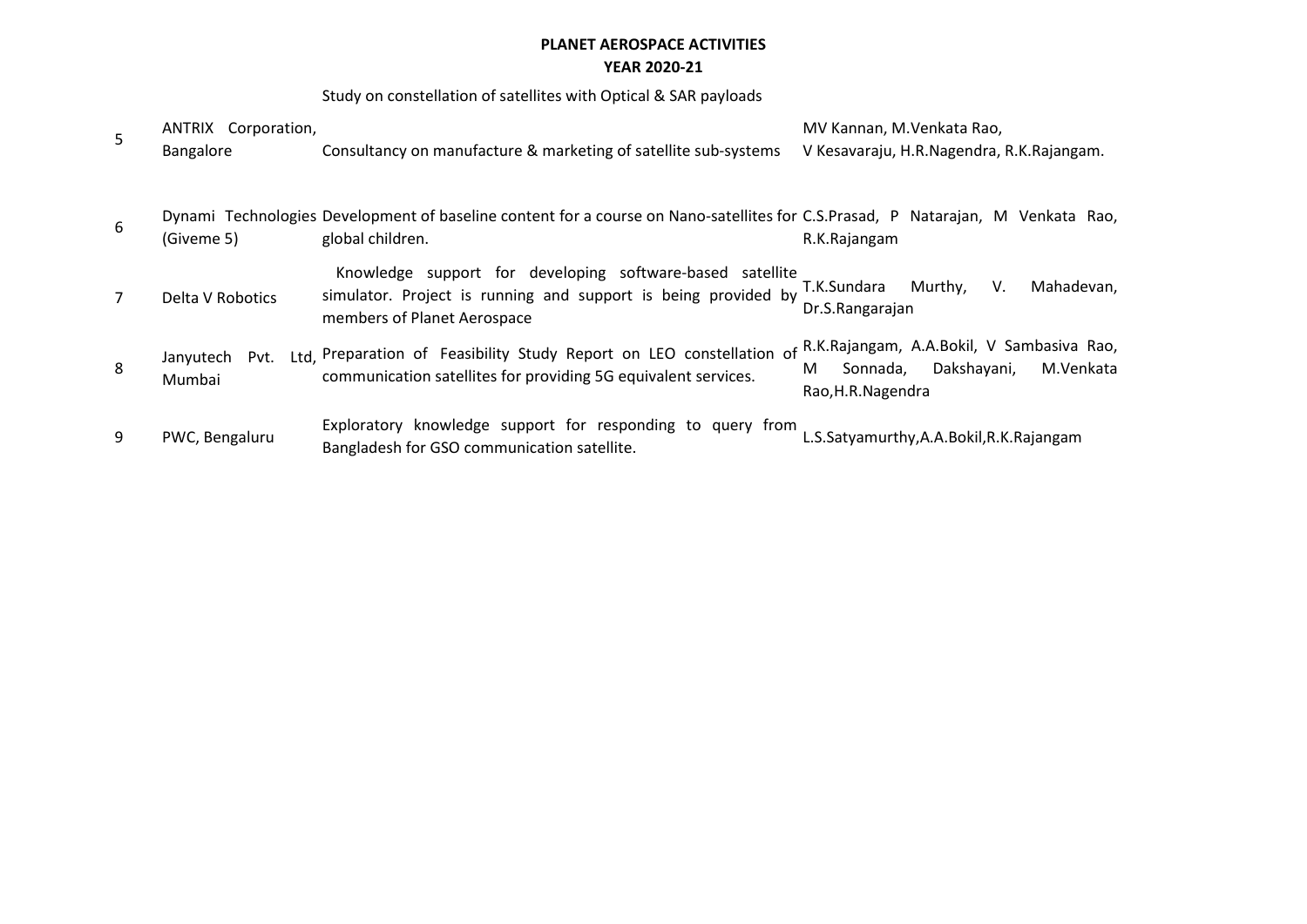## PLANET AEROSPACE ACTIVITIES YEAR 2020-21

## Study on constellation of satellites with Optical & SAR payloads

| 5              | ANTRIX Corporation,<br>Bangalore | Consultancy on manufacture & marketing of satellite sub-systems                                                                                            | MV Kannan, M.Venkata Rao,<br>V Kesavaraju, H.R.Nagendra, R.K.Rajangam.                                       |
|----------------|----------------------------------|------------------------------------------------------------------------------------------------------------------------------------------------------------|--------------------------------------------------------------------------------------------------------------|
| 6              | (Giveme 5)                       | Dynami Technologies Development of baseline content for a course on Nano-satellites for C.S.Prasad, P Natarajan, M Venkata Rao,<br>global children.        | R.K.Rajangam                                                                                                 |
| $\overline{7}$ | Delta V Robotics                 | Knowledge support for developing software-based satellite<br>simulator. Project is running and support is being provided by<br>members of Planet Aerospace | V.<br>Murthy,<br>Mahadevan,<br>T.K.Sundara<br>Dr.S.Rangarajan                                                |
| 8              | Janyutech<br>Pvt.<br>Mumbai      | Ltd, Preparation of Feasibility Study Report on LEO constellation of<br>communication satellites for providing 5G equivalent services.                     | R.K.Rajangam, A.A.Bokil, V Sambasiva Rao,<br>M.Venkata<br>Dakshayani,<br>Sonnada,<br>M<br>Rao, H.R. Nagendra |
| 9              | PWC, Bengaluru                   | Exploratory knowledge support for responding to query from<br>Bangladesh for GSO communication satellite.                                                  | L.S.Satyamurthy, A.A.Bokil, R.K. Rajangam                                                                    |